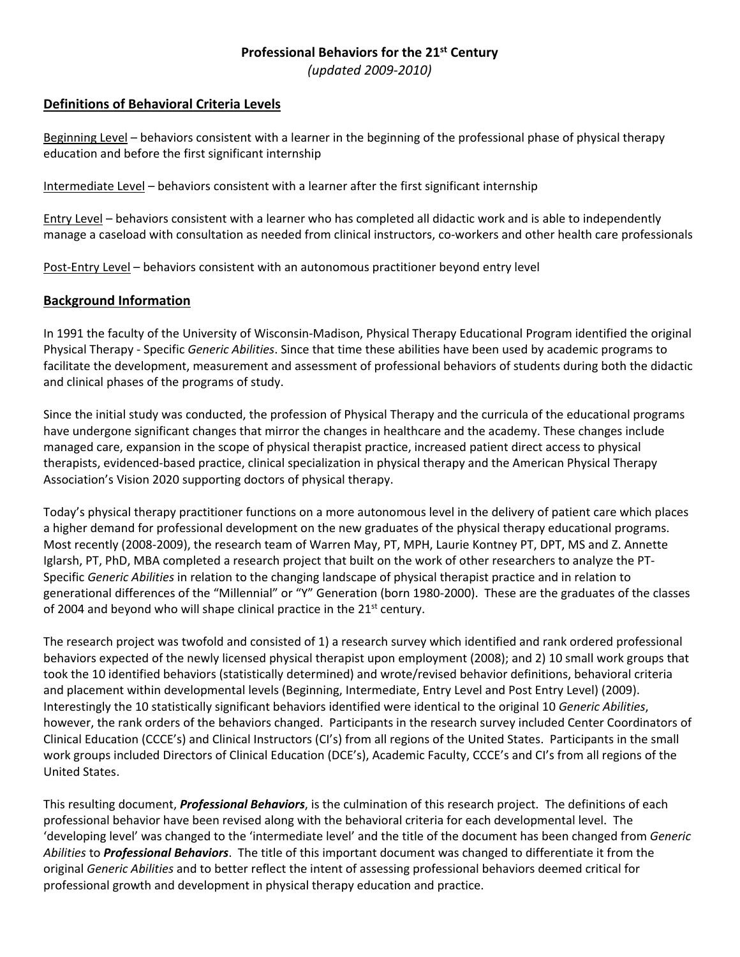# **Professional Behaviors for the 21st Century**

*(updated 2009‐2010)*

# **Definitions of Behavioral Criteria Levels**

Beginning Level – behaviors consistent with a learner in the beginning of the professional phase of physical therapy education and before the first significant internship

Intermediate Level – behaviors consistent with a learner after the first significant internship

Entry Level – behaviors consistent with a learner who has completed all didactic work and is able to independently manage a caseload with consultation as needed from clinical instructors, co-workers and other health care professionals

Post-Entry Level – behaviors consistent with an autonomous practitioner beyond entry level

## **Background Information**

In 1991 the faculty of the University of Wisconsin‐Madison, Physical Therapy Educational Program identified the original Physical Therapy ‐ Specific *Generic Abilities*. Since that time these abilities have been used by academic programs to facilitate the development, measurement and assessment of professional behaviors of students during both the didactic and clinical phases of the programs of study.

Since the initial study was conducted, the profession of Physical Therapy and the curricula of the educational programs have undergone significant changes that mirror the changes in healthcare and the academy. These changes include managed care, expansion in the scope of physical therapist practice, increased patient direct access to physical therapists, evidenced‐based practice, clinical specialization in physical therapy and the American Physical Therapy Association's Vision 2020 supporting doctors of physical therapy.

Today's physical therapy practitioner functions on a more autonomous level in the delivery of patient care which places a higher demand for professional development on the new graduates of the physical therapy educational programs. Most recently (2008‐2009), the research team of Warren May, PT, MPH, Laurie Kontney PT, DPT, MS and Z. Annette Iglarsh, PT, PhD, MBA completed a research project that built on the work of other researchers to analyze the PT‐ Specific *Generic Abilities* in relation to the changing landscape of physical therapist practice and in relation to generational differences of the "Millennial" or "Y" Generation (born 1980‐2000). These are the graduates of the classes of 2004 and beyond who will shape clinical practice in the  $21^{st}$  century.

The research project was twofold and consisted of 1) a research survey which identified and rank ordered professional behaviors expected of the newly licensed physical therapist upon employment (2008); and 2) 10 small work groups that took the 10 identified behaviors (statistically determined) and wrote/revised behavior definitions, behavioral criteria and placement within developmental levels (Beginning, Intermediate, Entry Level and Post Entry Level) (2009). Interestingly the 10 statistically significant behaviors identified were identical to the original 10 *Generic Abilities*, however, the rank orders of the behaviors changed. Participants in the research survey included Center Coordinators of Clinical Education (CCCE's) and Clinical Instructors (CI's) from all regions of the United States. Participants in the small work groups included Directors of Clinical Education (DCE's), Academic Faculty, CCCE's and CI's from all regions of the United States.

This resulting document, *Professional Behaviors*, is the culmination of this research project. The definitions of each professional behavior have been revised along with the behavioral criteria for each developmental level. The 'developing level' was changed to the 'intermediate level' and the title of the document has been changed from *Generic Abilities* to *Professional Behaviors*. The title of this important document was changed to differentiate it from the original *Generic Abilities* and to better reflect the intent of assessing professional behaviors deemed critical for professional growth and development in physical therapy education and practice.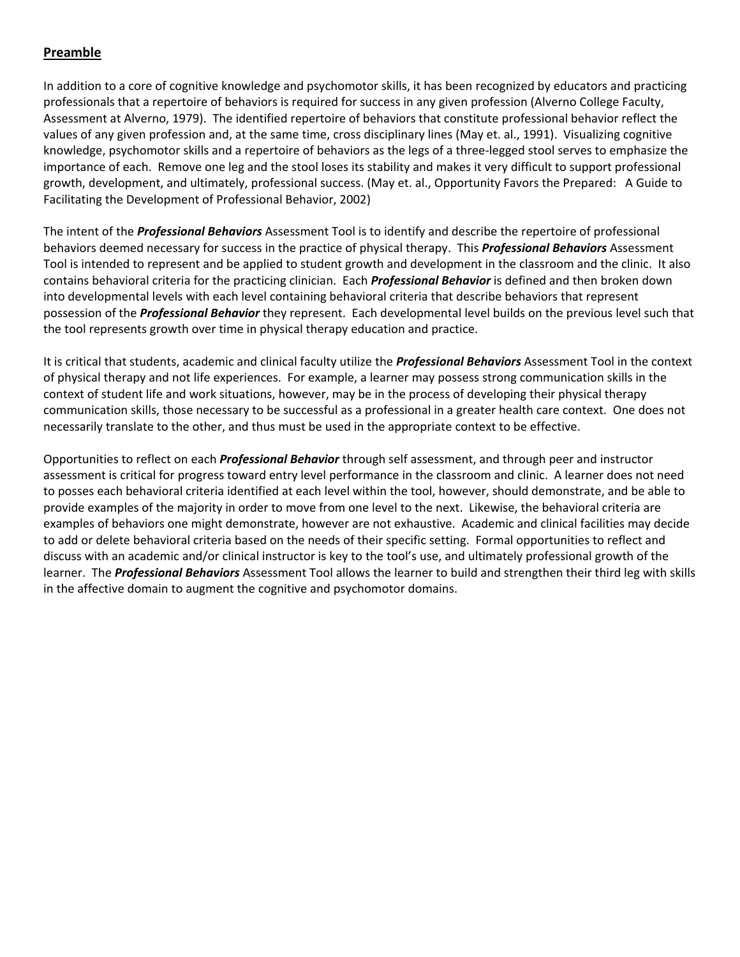# **Preamble**

In addition to a core of cognitive knowledge and psychomotor skills, it has been recognized by educators and practicing professionals that a repertoire of behaviors is required for success in any given profession (Alverno College Faculty, Assessment at Alverno, 1979). The identified repertoire of behaviors that constitute professional behavior reflect the values of any given profession and, at the same time, cross disciplinary lines (May et. al., 1991). Visualizing cognitive knowledge, psychomotor skills and a repertoire of behaviors as the legs of a three-legged stool serves to emphasize the importance of each. Remove one leg and the stool loses its stability and makes it very difficult to support professional growth, development, and ultimately, professional success. (May et. al., Opportunity Favors the Prepared: A Guide to Facilitating the Development of Professional Behavior, 2002)

The intent of the *Professional Behaviors* Assessment Tool is to identify and describe the repertoire of professional behaviors deemed necessary for success in the practice of physical therapy. This *Professional Behaviors* Assessment Tool is intended to represent and be applied to student growth and development in the classroom and the clinic. It also contains behavioral criteria for the practicing clinician. Each *Professional Behavior* is defined and then broken down into developmental levels with each level containing behavioral criteria that describe behaviors that represent possession of the *Professional Behavior* they represent. Each developmental level builds on the previous level such that the tool represents growth over time in physical therapy education and practice.

It is critical that students, academic and clinical faculty utilize the *Professional Behaviors* Assessment Tool in the context of physical therapy and not life experiences. For example, a learner may possess strong communication skills in the context of student life and work situations, however, may be in the process of developing their physical therapy communication skills, those necessary to be successful as a professional in a greater health care context. One does not necessarily translate to the other, and thus must be used in the appropriate context to be effective.

Opportunities to reflect on each *Professional Behavior* through self assessment, and through peer and instructor assessment is critical for progress toward entry level performance in the classroom and clinic. A learner does not need to posses each behavioral criteria identified at each level within the tool, however, should demonstrate, and be able to provide examples of the majority in order to move from one level to the next. Likewise, the behavioral criteria are examples of behaviors one might demonstrate, however are not exhaustive. Academic and clinical facilities may decide to add or delete behavioral criteria based on the needs of their specific setting. Formal opportunities to reflect and discuss with an academic and/or clinical instructor is key to the tool's use, and ultimately professional growth of the learner. The *Professional Behaviors* Assessment Tool allows the learner to build and strengthen their third leg with skills in the affective domain to augment the cognitive and psychomotor domains.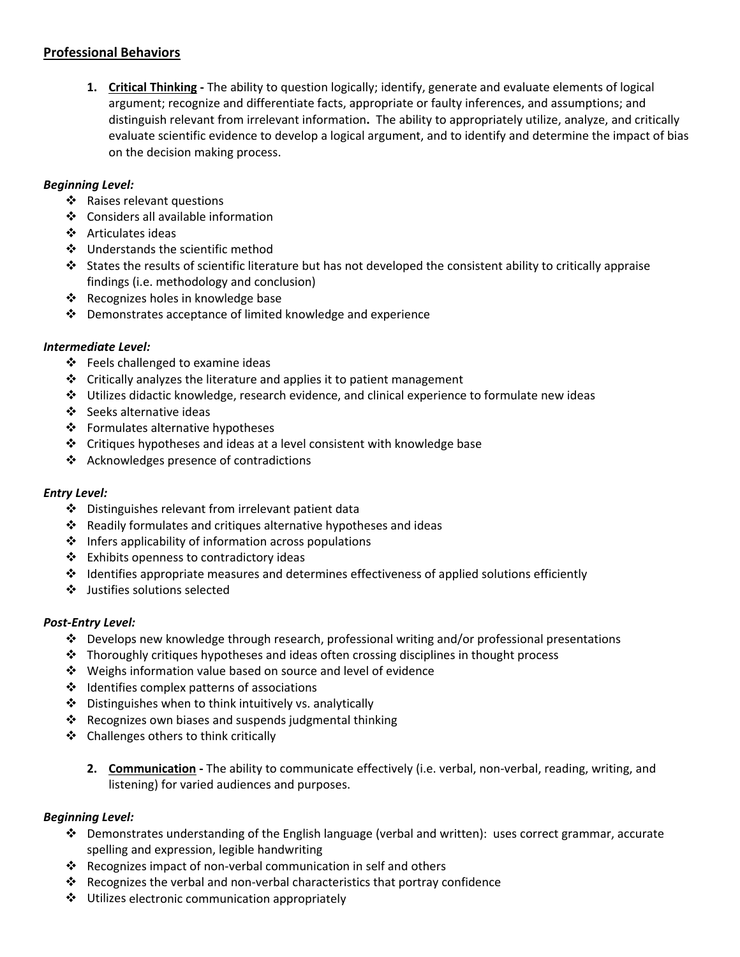# **Professional Behaviors**

**1. Critical Thinking ‐** The ability to question logically; identify, generate and evaluate elements of logical argument; recognize and differentiate facts, appropriate or faulty inferences, and assumptions; and distinguish relevant from irrelevant information**.** The ability to appropriately utilize, analyze, and critically evaluate scientific evidence to develop a logical argument, and to identify and determine the impact of bias on the decision making process.

## *Beginning Level:*

- Raises relevant questions
- ❖ Considers all available information
- ❖ Articulates ideas
- ❖ Understands the scientific method
- States the results of scientific literature but has not developed the consistent ability to critically appraise findings (i.e. methodology and conclusion)
- ❖ Recognizes holes in knowledge base
- Demonstrates acceptance of limited knowledge and experience

## *Intermediate Level:*

- $\div$  Feels challenged to examine ideas
- $\triangleleft$  Critically analyzes the literature and applies it to patient management
- $\div$  Utilizes didactic knowledge, research evidence, and clinical experience to formulate new ideas
- ❖ Seeks alternative ideas
- ❖ Formulates alternative hypotheses
- Critiques hypotheses and ideas at a level consistent with knowledge base
- ❖ Acknowledges presence of contradictions

## *Entry Level:*

- Distinguishes relevant from irrelevant patient data
- Readily formulates and critiques alternative hypotheses and ideas
- $\cdot$  Infers applicability of information across populations
- Exhibits openness to contradictory ideas
- $\div$  Identifies appropriate measures and determines effectiveness of applied solutions efficiently
- Justifies solutions selected

## *Post‐Entry Level:*

- $\clubsuit$  Develops new knowledge through research, professional writing and/or professional presentations
- $\cdot \cdot$  Thoroughly critiques hypotheses and ideas often crossing disciplines in thought process
- Weighs information value based on source and level of evidence
- $\div$  Identifies complex patterns of associations
- $\div$  Distinguishes when to think intuitively vs. analytically
- $\cdot$  Recognizes own biases and suspends judgmental thinking
- Challenges others to think critically
	- **2. Communication ‐** The ability to communicate effectively (i.e. verbal, non‐verbal, reading, writing, and listening) for varied audiences and purposes.

## *Beginning Level:*

- Demonstrates understanding of the English language (verbal and written): uses correct grammar, accurate spelling and expression, legible handwriting
- Recognizes impact of non‐verbal communication in self and others
- $\dots$  Recognizes the verbal and non-verbal characteristics that portray confidence
- $\div$  Utilizes electronic communication appropriately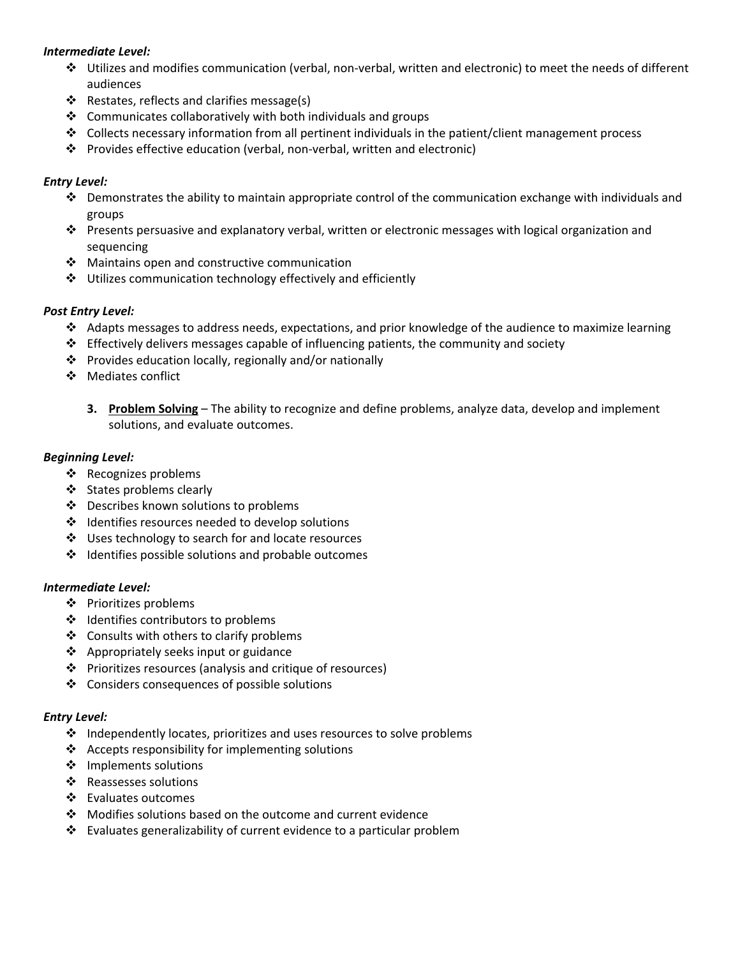## *Intermediate Level:*

- Utilizes and modifies communication (verbal, non‐verbal, written and electronic) to meet the needs of different audiences
- ❖ Restates, reflects and clarifies message(s)
- $\triangle$  Communicates collaboratively with both individuals and groups
- Collects necessary information from all pertinent individuals in the patient/client management process
- Provides effective education (verbal, non‐verbal, written and electronic)

## *Entry Level:*

- $\bullet$  Demonstrates the ability to maintain appropriate control of the communication exchange with individuals and groups
- Presents persuasive and explanatory verbal, written or electronic messages with logical organization and sequencing
- ❖ Maintains open and constructive communication
- Utilizes communication technology effectively and efficiently

## *Post Entry Level:*

- $\cdot \cdot$  Adapts messages to address needs, expectations, and prior knowledge of the audience to maximize learning
- $\div$  Effectively delivers messages capable of influencing patients, the community and society
- $\cdot \cdot$  Provides education locally, regionally and/or nationally
- ❖ Mediates conflict
	- **3. Problem Solving** The ability to recognize and define problems, analyze data, develop and implement solutions, and evaluate outcomes.

## *Beginning Level:*

- ❖ Recognizes problems
- States problems clearly
- Describes known solutions to problems
- Identifies resources needed to develop solutions
- ❖ Uses technology to search for and locate resources
- $\div$  Identifies possible solutions and probable outcomes

## *Intermediate Level:*

- ❖ Prioritizes problems
- $\triangleleft$  Identifies contributors to problems
- ❖ Consults with others to clarify problems
- $\triangle$  Appropriately seeks input or guidance
- Prioritizes resources (analysis and critique of resources)
- ❖ Considers consequences of possible solutions

## *Entry Level:*

- $\div$  Independently locates, prioritizes and uses resources to solve problems
- $\triangleleft$  Accepts responsibility for implementing solutions
- ❖ Implements solutions
- ❖ Reassesses solutions
- ❖ Evaluates outcomes
- Modifies solutions based on the outcome and current evidence
- Evaluates generalizability of current evidence to a particular problem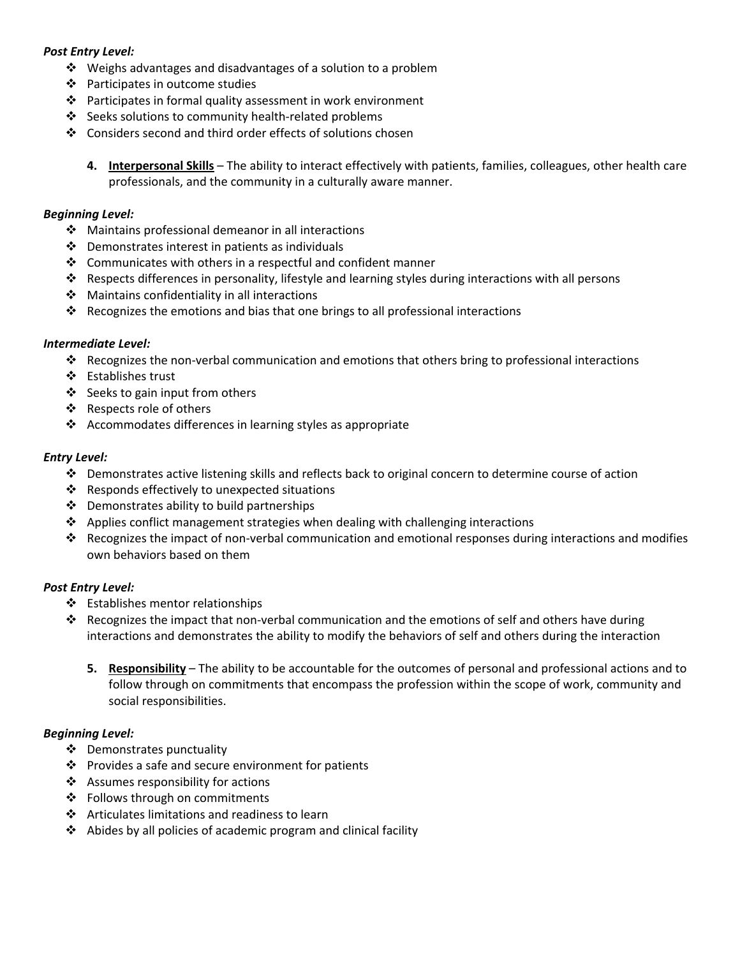## *Post Entry Level:*

- $\cdot$  Weighs advantages and disadvantages of a solution to a problem
- Participates in outcome studies
- $\cdot \cdot$  Participates in formal quality assessment in work environment
- Seeks solutions to community health‐related problems
- Considers second and third order effects of solutions chosen
	- **4. Interpersonal Skills** The ability to interact effectively with patients, families, colleagues, other health care professionals, and the community in a culturally aware manner.

## *Beginning Level:*

- ❖ Maintains professional demeanor in all interactions
- $\triangle$  Demonstrates interest in patients as individuals
- $\cdot$  Communicates with others in a respectful and confident manner
- Respects differences in personality, lifestyle and learning styles during interactions with all persons
- $\div$  Maintains confidentiality in all interactions
- Recognizes the emotions and bias that one brings to all professional interactions

## *Intermediate Level:*

- Recognizes the non‐verbal communication and emotions that others bring to professional interactions
- Establishes trust
- ❖ Seeks to gain input from others
- ❖ Respects role of others
- Accommodates differences in learning styles as appropriate

## *Entry Level:*

- $\div$  Demonstrates active listening skills and reflects back to original concern to determine course of action
- Responds effectively to unexpected situations
- ❖ Demonstrates ability to build partnerships
- $\triangle$  Applies conflict management strategies when dealing with challenging interactions
- Recognizes the impact of non‐verbal communication and emotional responses during interactions and modifies own behaviors based on them

# *Post Entry Level:*

- $\triangleleft$  Establishes mentor relationships
- $\dots$  Recognizes the impact that non-verbal communication and the emotions of self and others have during interactions and demonstrates the ability to modify the behaviors of self and others during the interaction
	- **5. Responsibility** The ability to be accountable for the outcomes of personal and professional actions and to follow through on commitments that encompass the profession within the scope of work, community and social responsibilities.

# *Beginning Level:*

- Demonstrates punctuality
- $\mathbf{\hat{P}}$  Provides a safe and secure environment for patients
- ❖ Assumes responsibility for actions
- Follows through on commitments
- ❖ Articulates limitations and readiness to learn
- $\triangleleft$  Abides by all policies of academic program and clinical facility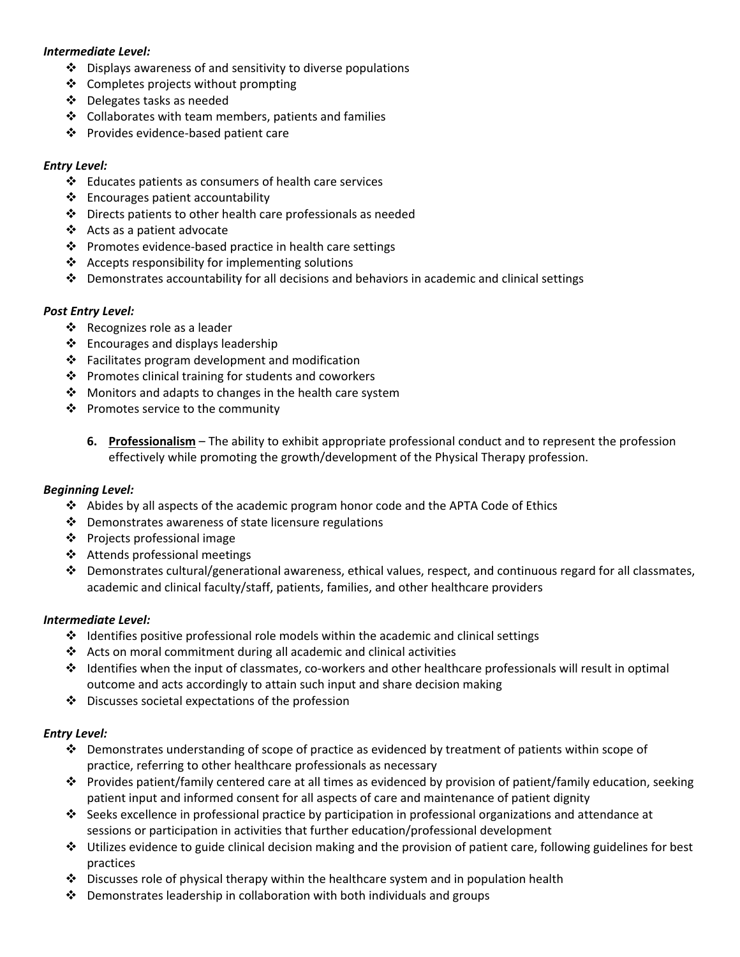## *Intermediate Level:*

- $\cdot$  Displays awareness of and sensitivity to diverse populations
- ❖ Completes projects without prompting
- Delegates tasks as needed
- $\cdot$  Collaborates with team members, patients and families
- Provides evidence‐based patient care

## *Entry Level:*

- $\cdot \cdot$  Educates patients as consumers of health care services
- $\triangleleft$  Encourages patient accountability
- $\div$  Directs patients to other health care professionals as needed
- Acts as a patient advocate
- Promotes evidence‐based practice in health care settings
- $\triangleleft$  Accepts responsibility for implementing solutions
- $\clubsuit$  Demonstrates accountability for all decisions and behaviors in academic and clinical settings

## *Post Entry Level:*

- ❖ Recognizes role as a leader
- $\triangleleft$  Encourages and displays leadership
- $\cdot \cdot$  Facilitates program development and modification
- $\cdot \cdot$  Promotes clinical training for students and coworkers
- $\div$  Monitors and adapts to changes in the health care system
- $\mathbf{\hat{P}}$  Promotes service to the community
	- **6. Professionalism** The ability to exhibit appropriate professional conduct and to represent the profession effectively while promoting the growth/development of the Physical Therapy profession.

## *Beginning Level:*

- $\triangle$  Abides by all aspects of the academic program honor code and the APTA Code of Ethics
- $\cdot \cdot$  Demonstrates awareness of state licensure regulations
- ❖ Projects professional image
- ❖ Attends professional meetings
- Demonstrates cultural/generational awareness, ethical values, respect, and continuous regard for all classmates, academic and clinical faculty/staff, patients, families, and other healthcare providers

## *Intermediate Level:*

- $\div$  Identifies positive professional role models within the academic and clinical settings
- Acts on moral commitment during all academic and clinical activities
- Identifies when the input of classmates, co‐workers and other healthcare professionals will result in optimal outcome and acts accordingly to attain such input and share decision making
- $\cdot \cdot$  Discusses societal expectations of the profession

# *Entry Level:*

- $\clubsuit$  Demonstrates understanding of scope of practice as evidenced by treatment of patients within scope of practice, referring to other healthcare professionals as necessary
- Provides patient/family centered care at all times as evidenced by provision of patient/family education, seeking patient input and informed consent for all aspects of care and maintenance of patient dignity
- Seeks excellence in professional practice by participation in professional organizations and attendance at sessions or participation in activities that further education/professional development
- Utilizes evidence to guide clinical decision making and the provision of patient care, following guidelines for best practices
- $\clubsuit$  Discusses role of physical therapy within the healthcare system and in population health
- $\cdot \cdot$  Demonstrates leadership in collaboration with both individuals and groups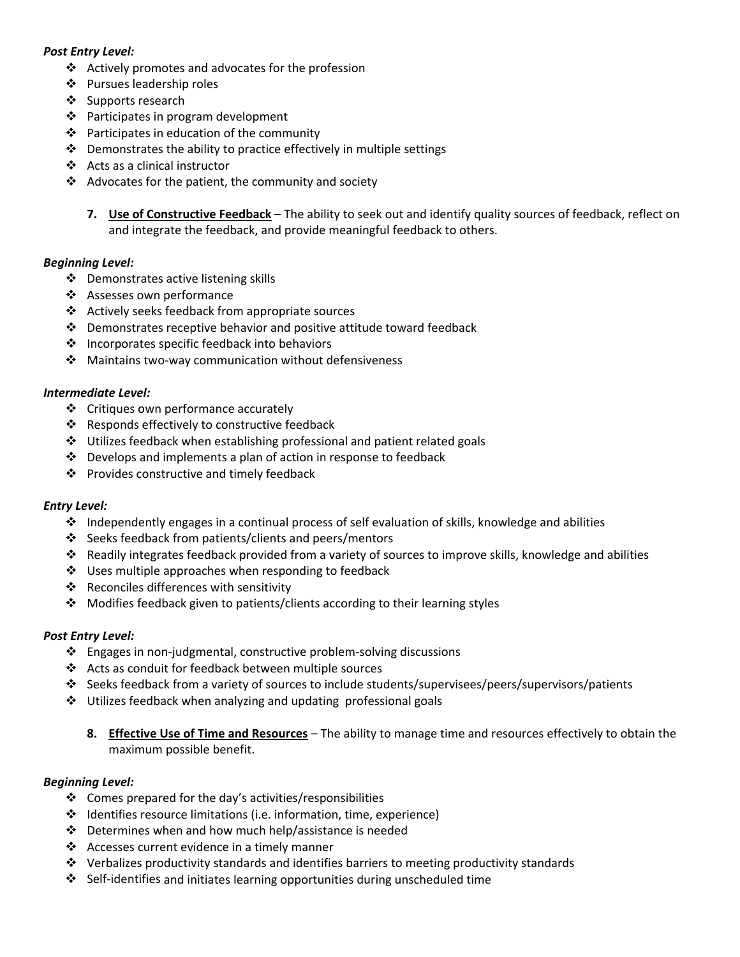## *Post Entry Level:*

- $\triangleleft$  Actively promotes and advocates for the profession
- ❖ Pursues leadership roles
- ❖ Supports research
- $\triangleleft$  Participates in program development
- $\cdot \cdot$  Participates in education of the community
- $\div$  Demonstrates the ability to practice effectively in multiple settings
- Acts as a clinical instructor
- $\triangleleft$  Advocates for the patient, the community and society
	- **7. Use of Constructive Feedback** The ability to seek out and identify quality sources of feedback, reflect on and integrate the feedback, and provide meaningful feedback to others.

## *Beginning Level:*

- ❖ Demonstrates active listening skills
- ❖ Assesses own performance
- Actively seeks feedback from appropriate sources
- $\cdot \cdot$  Demonstrates receptive behavior and positive attitude toward feedback
- $\cdot \cdot$  Incorporates specific feedback into behaviors
- Maintains two‐way communication without defensiveness

## *Intermediate Level:*

- ❖ Critiques own performance accurately
- Responds effectively to constructive feedback
- $\triangleq$  Utilizes feedback when establishing professional and patient related goals
- $\clubsuit$  Develops and implements a plan of action in response to feedback
- ❖ Provides constructive and timely feedback

## *Entry Level:*

- $\cdot \cdot$  Independently engages in a continual process of self evaluation of skills, knowledge and abilities
- ❖ Seeks feedback from patients/clients and peers/mentors
- $\cdot \cdot$  Readily integrates feedback provided from a variety of sources to improve skills, knowledge and abilities
- ❖ Uses multiple approaches when responding to feedback
- ❖ Reconciles differences with sensitivity
- Modifies feedback given to patients/clients according to their learning styles

## *Post Entry Level:*

- Engages in non‐judgmental, constructive problem‐solving discussions
- Acts as conduit for feedback between multiple sources
- Seeks feedback from a variety of sources to include students/supervisees/peers/supervisors/patients
- $\div$  Utilizes feedback when analyzing and updating professional goals
	- **8. Effective Use of Time and Resources** The ability to manage time and resources effectively to obtain the maximum possible benefit.

## *Beginning Level:*

- $\div$  Comes prepared for the day's activities/responsibilities
- $\div$  Identifies resource limitations (i.e. information, time, experience)
- ❖ Determines when and how much help/assistance is needed
- $\triangleleft$  Accesses current evidence in a timely manner
- $\div$  Verbalizes productivity standards and identifies barriers to meeting productivity standards
- $\dots$  Self-identifies and initiates learning opportunities during unscheduled time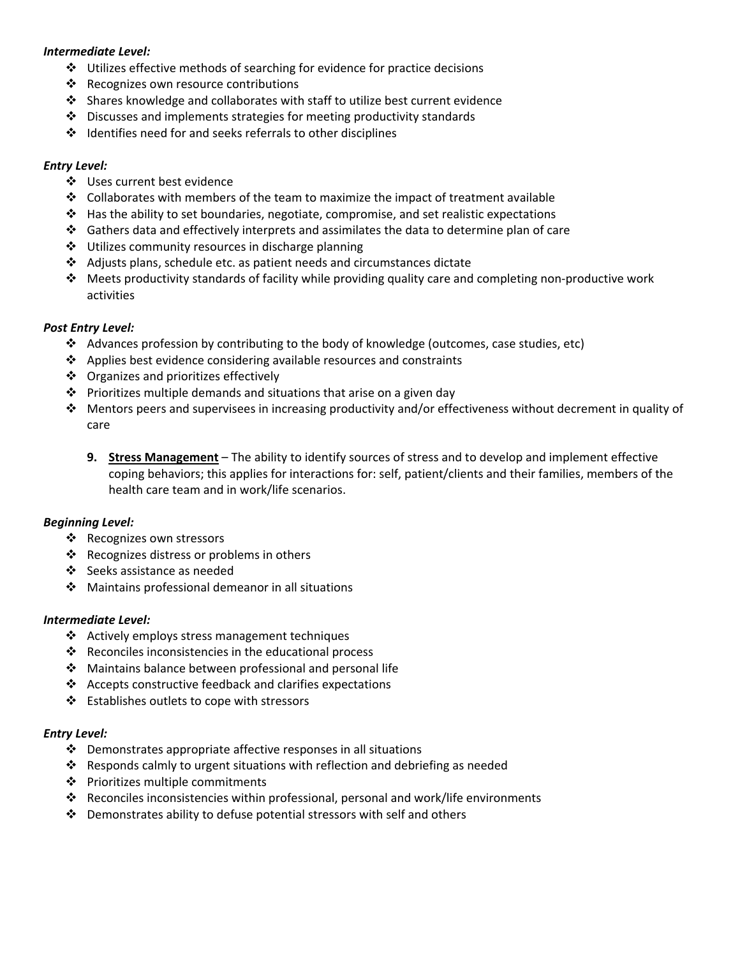## *Intermediate Level:*

- $\cdot$  Utilizes effective methods of searching for evidence for practice decisions
- ❖ Recognizes own resource contributions
- $\triangle$  Shares knowledge and collaborates with staff to utilize best current evidence
- $\cdot$  Discusses and implements strategies for meeting productivity standards
- $\div$  Identifies need for and seeks referrals to other disciplines

## *Entry Level:*

- ❖ Uses current best evidence
- $\div$  Collaborates with members of the team to maximize the impact of treatment available
- $\triangle$  Has the ability to set boundaries, negotiate, compromise, and set realistic expectations
- Gathers data and effectively interprets and assimilates the data to determine plan of care
- $\div$  Utilizes community resources in discharge planning
- Adjusts plans, schedule etc. as patient needs and circumstances dictate
- Meets productivity standards of facility while providing quality care and completing non‐productive work activities

## *Post Entry Level:*

- Advances profession by contributing to the body of knowledge (outcomes, case studies, etc)
- $\triangleleft$  Applies best evidence considering available resources and constraints
- ❖ Organizes and prioritizes effectively
- $\cdot \cdot$  Prioritizes multiple demands and situations that arise on a given day
- $\clubsuit$  Mentors peers and supervisees in increasing productivity and/or effectiveness without decrement in quality of care
	- **9. Stress Management** The ability to identify sources of stress and to develop and implement effective coping behaviors; this applies for interactions for: self, patient/clients and their families, members of the health care team and in work/life scenarios.

## *Beginning Level:*

- ❖ Recognizes own stressors
- ❖ Recognizes distress or problems in others
- Seeks assistance as needed
- $\clubsuit$  Maintains professional demeanor in all situations

## *Intermediate Level:*

- $\triangleleft$  Actively employs stress management techniques
- $\cdot \cdot$  Reconciles inconsistencies in the educational process
- $\div$  Maintains balance between professional and personal life
- $\triangleleft$  Accepts constructive feedback and clarifies expectations
- ❖ Establishes outlets to cope with stressors

## *Entry Level:*

- $\cdot \cdot$  Demonstrates appropriate affective responses in all situations
- Responds calmly to urgent situations with reflection and debriefing as needed
- $\triangleleft$  Prioritizes multiple commitments
- $\triangle$  Reconciles inconsistencies within professional, personal and work/life environments
- Demonstrates ability to defuse potential stressors with self and others